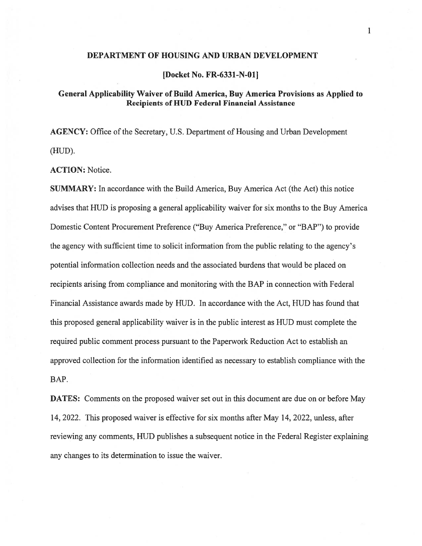#### DEPARTMENT OF HOUSING AND URBAN DEVELOPMENT

[Docket No. FR-6331-N-O1J

# General Applicability Waiver of Build America, Buy America Provisions as Applied to Recipients of HUD Federal Financial Assistance

AGENCY: Office of the Secretary, U.S. Department of Housing and Urban Development tHUD).

ACTION: Notice.

SUMMARY: In accordance with the Build America, Buy America Act (the Act) this notice advises that HUD is proposing <sup>a</sup> general applicability waiver for six months to the Buy America Domestic Content Procurement Preference ("Buy America Preference," or "BAP") to provide the agency with sufficient time to solicit information from the public relating to the agency's potential information collection needs and the associated burdens that would be placed on recipients arising from compliance and monitoring with the BAP in connection with Federal Financial Assistance awards made by HUD. In accordance with the Act, HUD has found that this proposed general applicability waiver is in the public interest as HUD must complete the required public comment process pursuan<sup>t</sup> to the Paperwork Reduction Act to establish an approved collection for the information identified as necessary to establish compliance with the BAP.

DATES: Comments on the proposed waiver set out in this document are due on or before May 14, 2022. This proposed waiver is effective for six months after May 14, 2022, unless, after reviewing any comments, HUD publishes <sup>a</sup> subsequent notice in the Federal Register explaining any changes to its determination to issue the waiver.

1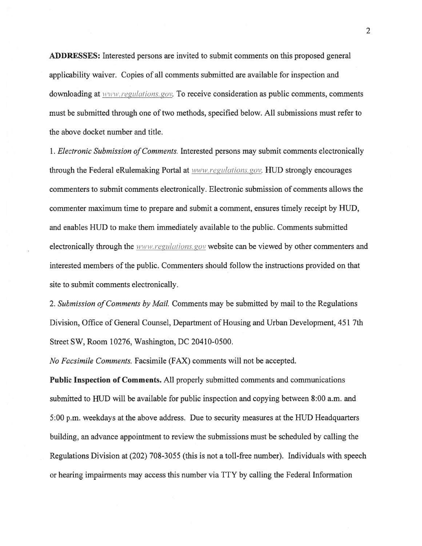ADDRESSES: Interested persons are invited to submit comments on this proposed general applicability waiver. Copies of all comments submitted are available for inspection and downloading at www.regulations.gov. To receive consideration as public comments, comments must be submitted through one of two methods, specified below. All submissions must refer to the above docket number and title.

1. Electronic Submission of Comments. Interested persons may submit comments electronically through the Federal eRulemaking Portal at www.regulations.gov. HUD strongly encourages commenters to submit comments electronically. Electronic submission of comments allows the commenter maximum time to prepare and submit <sup>a</sup> comment, ensures timely receipt by HUD, and enables HUD to make them immediately available to the public. Comments submitted electronically through the www.regulations.gov website can be viewed by other commenters and interested members of the public. Commenters should follow the instructions provided on that site to submit comments electronically.

2. Submission of Comments by Mail. Comments may be submitted by mail to the Regulations Division, Office of General Counsel, Department of Housing and Urban Development, 451 7th Street SW, Room 10276, Washington, DC 20410-0500.

No Facsimile Comments. Facsimile (FAX) comments will not be accepted.

Public Inspection of Comments. All properly submitted comments and communications submitted to HUD will be available for public inspection and copying between 8:00 a.m. and 5:00 p.m. weekdays at the above address. Due to security measures at the HUD Headquarters building, an advance appointment to review the submissions must be scheduled by calling the Regulations Division at (202) 708-3055 (this is not <sup>a</sup> toll-free number). Individuals with speech or hearing impairments may access this number via TTY by calling the Federal Information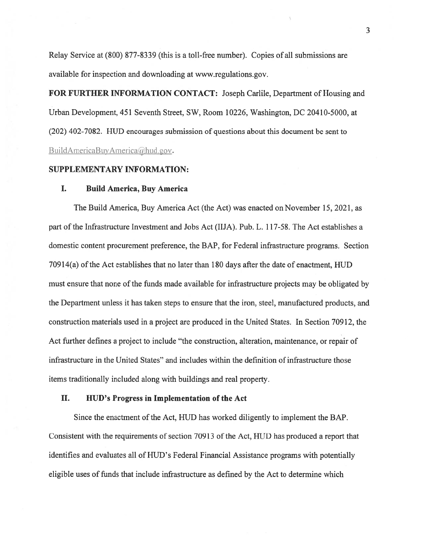Relay Service at (\$00) \$77-\$339 (this is <sup>a</sup> toll-free number). Copies of all submissions are available for inspection and downloading at www.regulations.gov.

FOR FURTHER INFORMATION CONTACT: Joseph Carlile, Department of Housing and Urban Development, 451 Seventh Street, SW, Room 10226, Washington, DC 20410-5000, at (202) 402-70\$2. HUD encourages submission of questions about this document be sent to BuildAmericaBuyAmerica@hud.gov.

## SUPPLEMENTARY INFORMATION:

#### I. Build America, Buy America

The Build America, Buy America Act (the Act) was enacted on November 15, 2021, as par<sup>t</sup> of the Infrastructure Investment and Jobs Act (ITJA). Pub. L. 117-5\$. The Act establishes <sup>a</sup> domestic content procuremen<sup>t</sup> preference, the BAP, for federal infrastructure programs. Section  $70914(a)$  of the Act establishes that no later than 180 days after the date of enactment,  $HUD$ must ensure that none of the funds made available for infrastructure projects may be obligated by the Department unless it has taken steps to ensure that the iron, steel, manufactured products, and construction materials used in <sup>a</sup> project are produced in the United States. In Section 70912, the Act further defines <sup>a</sup> project to include "the construction, alteration, maintenance, or repair of infrastructure in the United States" and includes within the definition of infrastructure those items traditionally included along with buildings and real property.

# II. HUD's Progress in Implementation of the Act

Since the enactment of the Act, HUD has worked diligently to implement the BAP. Consistent with the requirements of section 70913 of the Act, HUD has produced <sup>a</sup> repor<sup>t</sup> that identifies and evaluates all of HUD's federal financial Assistance programs with potentially eligible uses of funds that include infrastructure as defined by the Act to determine which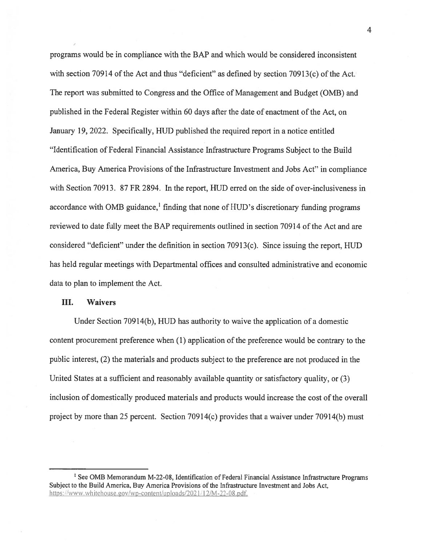programs would be in compliance with the BAP and which would be considered inconsistent with section 70914 of the Act and thus "deficient" as defined by section 70913(c) of the Act. The repor<sup>t</sup> was submitted to Congress and the Office of Management and Budget (0MB) and published in the Federal Register within 60 days after the date of enactment of the Act, on January 19, 2022. Specifically, HUD published the required repor<sup>t</sup> in <sup>a</sup> notice entitled "Identification of federal Financial Assistance Infrastructure Programs Subject to the Build America, Buy America Provisions of the Infrastructure Investment and Jobs Act" in compliance with Section 70913. 87 FR 2894. In the report, HUD erred on the side of over-inclusiveness in accordance with OMB guidance,<sup>1</sup> finding that none of HUD's discretionary funding programs reviewed to date fully meet the BAP requirements outlined in section 70914 of the Act and are considered "deficient" under the definition in section 70913(c). Since issuing the report, HUD has held regular meetings with Departmental offices and consulted administrative and economic data to plan to implement the Act.

### III. Waivers

Under Section 709 14(b), HUD has authority to waive the application of <sup>a</sup> domestic content procuremen<sup>t</sup> preference when (1) application of the preference would be contrary to the public interest, (2) the materials and products subject to the preference are not produced in the United States at <sup>a</sup> sufficient and reasonably available quantity or satisfactory quality, or (3) inclusion of domestically produced materials and products would increase the cost of the overall project by more than 25 percent. Section 70914(c) provides that a waiver under 70914(b) must

4

<sup>&</sup>lt;sup>1</sup> See OMB Memorandum M-22-08, Identification of Federal Financial Assistance Infrastructure Programs Subject to the Build America, Buy America Provisions of the Infrastructure Investment and Jobs Act, https://www.whitehouse.gov/wp-content/uploads/2021/12/M-22-08.pdf.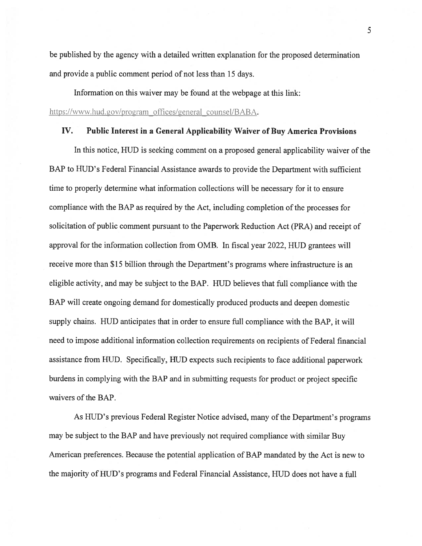be published by the agency with <sup>a</sup> detailed written explanation for the proposed determination and provide <sup>a</sup> public comment period of not less than 15 days.

Information on this waiver may be found at the webpage at this link: https://www.hud.gov/program offices/general counsel/BABA.

## IV. Public Interest in <sup>a</sup> General Applicability Waiver of Buy America Provisions

In this notice, HUD is seeking comment on a proposed general applicability waiver of the BAP to HUD's Federal Financial Assistance awards to provide the Department with sufficient time to properly determine what information collections will be necessary for it to ensure compliance with the BAP as required by the Act, including completion of the processes for solicitation of public comment pursuan<sup>t</sup> to the Paperwork Reduction Act (PRA) and receipt of approval for the information collection from 0MB. In fiscal year 2022, HUD grantees will receive more than \$15 billion through the Department's programs where infrastructure is an eligible activity, and may be subject to the BAP. HUD believes that full compliance with the BAP will create ongoing demand for domestically produced products and deepen domestic supply chains. HUD anticipates that in order to ensure full compliance with the BAP, it will need to impose additional information collection requirements on recipients of Federal financial assistance from HUD. Specifically, HUD expects such recipients to face additional paperwork burdens in complying with the BAP and in submitting requests for product or project specific waivers of the BAP.

As HUD's previous Federal Register Notice advised, many of the Department's programs may be subject to the BAP and have previously not required compliance with similar Buy American preferences. Because the potential application of BAP mandated by the Act is new to the majority of HUD's programs and Federal Financial Assistance, HUD does not have <sup>a</sup> full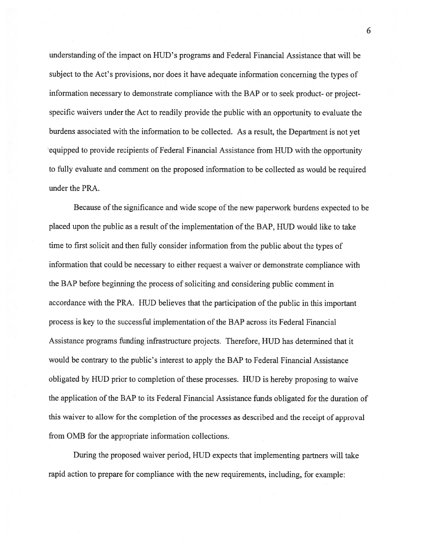understanding of the impact on HUD's programs and Federal financial Assistance that will be subject to the Act's provisions, nor does it have adequate information concerning the types of information necessary to demonstrate compliance with the BAP or to seek product- or projectspecific waivers under the Act to readily provide the public with an opportunity to evaluate the burdens associated with the information to be collected. As <sup>a</sup> result, the Department is not ye<sup>t</sup> equipped to provide recipients of federal financial Assistance from HUD with the opportunity to fully evaluate and comment on the proposed information to be collected as would be required under the PRA.

Because of the significance and wide scope of the new paperwork burdens expected to be placed upon the public as a result of the implementation of the BAP, HUD would like to take time to first solicit and then fully consider information from the public about the types of information that could be necessary to either reques<sup>t</sup> <sup>a</sup> waiver or demonstrate compliance with the BAP before beginning the process of soliciting and considering public comment in accordance with the PRA. HUD believes that the participation of the public in this important process is key to the successful implementation of the BAP across its Federal financial Assistance programs funding infrastructure projects. Therefore, HUD has determined that it would be contrary to the public's interest to apply the BAP to federal financial Assistance obligated by HUD prior to completion of these processes. HUD is hereby proposing to waive the application of the BAP to its Federal Financial Assistance funds obligated for the duration of this waiver to allow for the completion of the processes as described and the receipt of approval from 0MB for the appropriate information collections.

During the proposed waiver period, HUD expects that implementing partners will take rapid action to prepare for compliance with the new requirements, including, for example:

6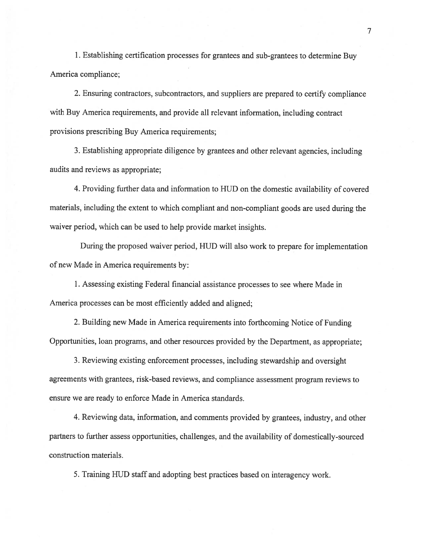1. Establishing certification processes for grantees and sub-grantees to determine Buy America compliance;

2. Ensuring contractors, subcontractors, and suppliers are prepare<sup>d</sup> to certify compliance with Buy America requirements, and provide all relevant information, including contract provisions prescribing Buy America requirements;

3. Establishing appropriate diligence by grantees and other relevant agencies, including audits and reviews as appropriate;

4. Providing further data and information to HUD on the domestic availability of covered materials, including the extent to which compliant and non-compliant goods are used during the waiver period, which can be used to help provide market insights.

During the proposed waiver period, HUD will also work to prepare for implementation of new Made in America requirements by:

1. Assessing existing Federal financial assistance processes to see where Made in America processes can be most efficiently added and aligned;

2. Building new Made in America requirements into forthcoming Notice of funding Opportunities, loan programs, and other resources provided by the Department, as appropriate;

3. Reviewing existing enforcement processes, including stewardship and oversight agreements with grantees, risk-based reviews, and compliance assessment program reviews to ensure we are ready to enforce Made in America standards.

4. Reviewing data, information, and comments provided by grantees. industry, and other partners to further assess opportunities, challenges, and the availability of domestically-sourced construction materials.

5. Training HUD staff and adopting best practices based on interagency work.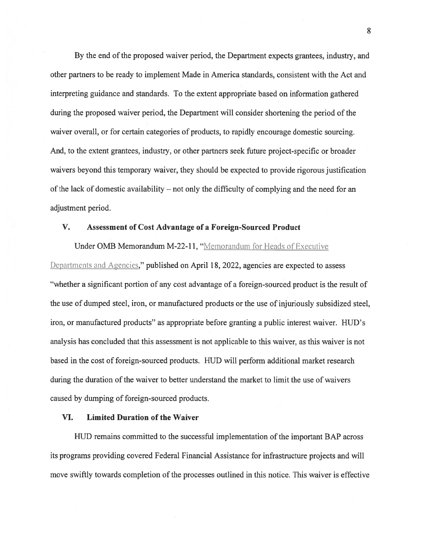By the end of the proposed waiver period, the Department expects grantees, industry, and other partners to be ready to implement Made in America standards, consistent with the Act and interpreting guidance and standards. To the extent appropriate based on information gathered during the proposed waiver period, the Department will consider shortening the period of the waiver overall, or for certain categories of products, to rapidly encourage domestic sourcing. And, to the extent grantees, industry, or other partners seek future project-specific or broader waivers beyond this temporary waiver, they should be expected to provide rigorous justification ofthe lack of domestic availability — not only the difficulty of complying and the need for an adjustment period.

# V. Assessment of Cost Advantage of <sup>a</sup> Foreign-Sourced Product

Under OMB Memorandum M-22-11, "Memorandum for Heads of Executive Departments and Agencies," published on April 18, 2022, agencies are expected to assess "whether <sup>a</sup> significant portion of any cost advantage of <sup>a</sup> foreign-sourced product is the result of the use of dumped steel, iron, or manufactured products or the use of injuriously subsidized steel, iron, or manufactured products" as appropriate before granting <sup>a</sup> public interest waiver. HUD's analysis has concluded that this assessment is not applicable to this waiver, as this waiver is not based in the cost of foreign-sourced products. HUD will perform additional market research during the duration of the waiver to better understand the market to limit the use of waivers caused by dumping of foreign-sourced products.

## VI. Limited Duration of the Waiver

HUD remains committed to the successful implementation of the important BAP across its programs providing covered federal financial Assistance for infrastructure projects and will move swiftly towards completion of the processes outlined in this notice. This waiver is effective

\$